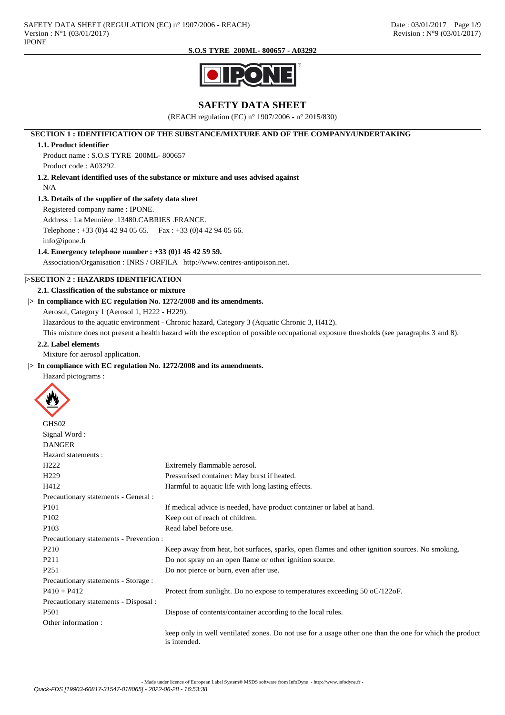

# **SAFETY DATA SHEET**

(REACH regulation (EC) n° 1907/2006 - n° 2015/830)

### **SECTION 1 : IDENTIFICATION OF THE SUBSTANCE/MIXTURE AND OF THE COMPANY/UNDERTAKING**

#### **1.1. Product identifier**

Product name : S.O.S TYRE 200ML- 800657 Product code : A03292.

**1.2. Relevant identified uses of the substance or mixture and uses advised against**

#### N/A

# **1.3. Details of the supplier of the safety data sheet**

Registered company name : IPONE.

Address : La Meunière .13480.CABRIES .FRANCE.

Telephone : +33 (0)4 42 94 05 65. Fax : +33 (0)4 42 94 05 66.

info@ipone.fr

### **1.4. Emergency telephone number : +33 (0)1 45 42 59 59.**

Association/Organisation : INRS / ORFILA http://www.centres-antipoison.net.

# **|>SECTION 2 : HAZARDS IDENTIFICATION**

### **2.1. Classification of the substance or mixture**

# **|> In compliance with EC regulation No. 1272/2008 and its amendments.**

Aerosol, Category 1 (Aerosol 1, H222 - H229).

Hazardous to the aquatic environment - Chronic hazard, Category 3 (Aquatic Chronic 3, H412).

This mixture does not present a health hazard with the exception of possible occupational exposure thresholds (see paragraphs 3 and 8).

# **2.2. Label elements**

Mixture for aerosol application.

# **|> In compliance with EC regulation No. 1272/2008 and its amendments.**

Hazard pictograms :



| GHS02                                   |                                                                                                                         |
|-----------------------------------------|-------------------------------------------------------------------------------------------------------------------------|
| Signal Word:                            |                                                                                                                         |
| <b>DANGER</b>                           |                                                                                                                         |
| Hazard statements:                      |                                                                                                                         |
| H <sub>222</sub>                        | Extremely flammable aerosol.                                                                                            |
| H <sub>229</sub>                        | Pressurised container: May burst if heated.                                                                             |
| H412                                    | Harmful to aquatic life with long lasting effects.                                                                      |
| Precautionary statements - General :    |                                                                                                                         |
| P <sub>101</sub>                        | If medical advice is needed, have product container or label at hand.                                                   |
| P <sub>102</sub>                        | Keep out of reach of children.                                                                                          |
| P <sub>103</sub>                        | Read label before use.                                                                                                  |
| Precautionary statements - Prevention : |                                                                                                                         |
| P <sub>210</sub>                        | Keep away from heat, hot surfaces, sparks, open flames and other ignition sources. No smoking.                          |
| P <sub>2</sub> 11                       | Do not spray on an open flame or other ignition source.                                                                 |
| P <sub>251</sub>                        | Do not pierce or burn, even after use.                                                                                  |
| Precautionary statements - Storage :    |                                                                                                                         |
| $P410 + P412$                           | Protect from sunlight. Do no expose to temperatures exceeding 50 oC/122oF.                                              |
| Precautionary statements - Disposal :   |                                                                                                                         |
| P <sub>501</sub>                        | Dispose of contents/container according to the local rules.                                                             |
| Other information:                      |                                                                                                                         |
|                                         | keep only in well ventilated zones. Do not use for a usage other one than the one for which the product<br>is intended. |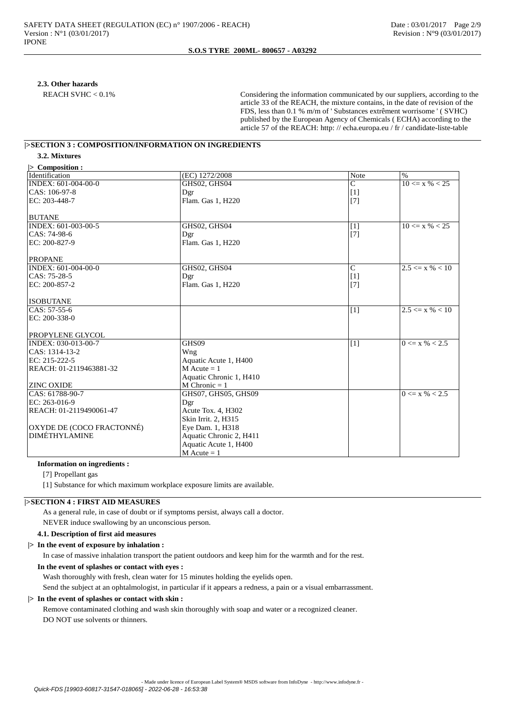#### **2.3. Other hazards**

REACH SVHC < 0.1% Considering the information communicated by our suppliers, according to the article 33 of the REACH, the mixture contains, in the date of revision of the FDS, less than 0.1 % m/m of ' Substances extrêment worrisome ' ( SVHC) published by the European Agency of Chemicals ( ECHA) according to the article 57 of the REACH: http: // echa.europa.eu / fr / candidate-liste-table

# **|>SECTION 3 : COMPOSITION/INFORMATION ON INGREDIENTS**

# **3.2. Mixtures**

|  | $\triangleright$ Composition : |  |
|--|--------------------------------|--|
|--|--------------------------------|--|

| $\sim$ $\sim$ $\sim$ $\sim$ $\sim$ $\sim$ $\sim$ $\sim$ |                         |                |                             |
|---------------------------------------------------------|-------------------------|----------------|-----------------------------|
| Identification                                          | (EC) 1272/2008          | Note           | $\%$                        |
| INDEX: 601-004-00-0                                     | GHS02, GHS04            | $\overline{C}$ | $10 \le x \frac{9}{6} < 25$ |
| CAS: 106-97-8                                           | Dgr                     | $[1]$          |                             |
| EC: 203-448-7                                           | Flam. Gas 1, H220       | $[7]$          |                             |
|                                                         |                         |                |                             |
| <b>BUTANE</b>                                           |                         |                |                             |
| INDEX: 601-003-00-5                                     | GHS02, GHS04            | $[1]$          | $10 \le x \frac{9}{6} < 25$ |
| $CAS: 74-98-6$                                          | Dgr                     | $[7]$          |                             |
| EC: 200-827-9                                           | Flam. Gas 1, H220       |                |                             |
|                                                         |                         |                |                             |
| <b>PROPANE</b>                                          |                         |                |                             |
| INDEX: 601-004-00-0                                     | GHS02, GHS04            | $\mathcal{C}$  | $2.5 \le x \% < 10$         |
| CAS: 75-28-5                                            | Dgr                     | $[1]$          |                             |
| EC: 200-857-2                                           | Flam. Gas 1, H220       | $[7]$          |                             |
|                                                         |                         |                |                             |
| <b>ISOBUTANE</b>                                        |                         |                |                             |
| $CAS: 57-55-6$                                          |                         | [1]            | $2.5 \le x \% < 10$         |
| EC: 200-338-0                                           |                         |                |                             |
|                                                         |                         |                |                             |
| <b>PROPYLENE GLYCOL</b>                                 |                         |                |                             |
| INDEX: 030-013-00-7                                     | GHS09                   | $[1]$          | $0 \le x \% < 2.5$          |
| CAS: 1314-13-2                                          | Wng                     |                |                             |
| EC: 215-222-5                                           | Aquatic Acute 1, H400   |                |                             |
| REACH: 01-2119463881-32                                 | $M$ Acute = 1           |                |                             |
|                                                         | Aquatic Chronic 1, H410 |                |                             |
| <b>ZINC OXIDE</b>                                       | $M$ Chronic = 1         |                |                             |
| CAS: 61788-90-7                                         | GHS07, GHS05, GHS09     |                | $0 \le x \% < 2.5$          |
| EC: 263-016-9                                           | Dgr                     |                |                             |
| REACH: 01-2119490061-47                                 | Acute Tox. 4, H302      |                |                             |
|                                                         | Skin Irrit. 2, H315     |                |                             |
| OXYDE DE (COCO FRACTONNÉ)                               | Eye Dam. 1, H318        |                |                             |
| <b>DIMÉTHYLAMINE</b>                                    | Aquatic Chronic 2, H411 |                |                             |
|                                                         | Aquatic Acute 1, H400   |                |                             |
|                                                         | $M$ Acute = 1           |                |                             |

#### **Information on ingredients :**

[1] Substance for which maximum workplace exposure limits are available.

# **|>SECTION 4 : FIRST AID MEASURES**

As a general rule, in case of doubt or if symptoms persist, always call a doctor.

NEVER induce swallowing by an unconscious person.

# **4.1. Description of first aid measures**

### **|> In the event of exposure by inhalation :**

In case of massive inhalation transport the patient outdoors and keep him for the warmth and for the rest.

#### **In the event of splashes or contact with eyes :**

Wash thoroughly with fresh, clean water for 15 minutes holding the eyelids open.

Send the subject at an ophtalmologist, in particular if it appears a redness, a pain or a visual embarrassment.

# **|> In the event of splashes or contact with skin :**

Remove contaminated clothing and wash skin thoroughly with soap and water or a recognized cleaner. DO NOT use solvents or thinners.

<sup>[7]</sup> Propellant gas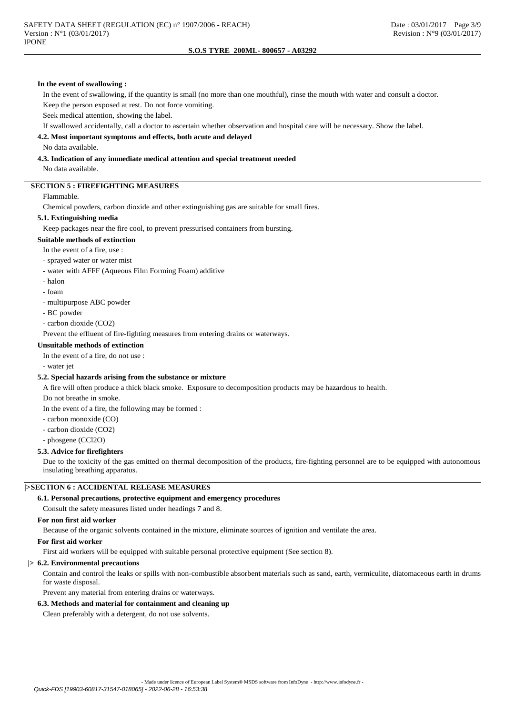#### **In the event of swallowing :**

In the event of swallowing, if the quantity is small (no more than one mouthful), rinse the mouth with water and consult a doctor. Keep the person exposed at rest. Do not force vomiting.

Seek medical attention, showing the label.

If swallowed accidentally, call a doctor to ascertain whether observation and hospital care will be necessary. Show the label.

### **4.2. Most important symptoms and effects, both acute and delayed**

No data available.

# **4.3. Indication of any immediate medical attention and special treatment needed**

No data available.

# **SECTION 5 : FIREFIGHTING MEASURES**

Flammable.

Chemical powders, carbon dioxide and other extinguishing gas are suitable for small fires.

# **5.1. Extinguishing media**

Keep packages near the fire cool, to prevent pressurised containers from bursting.

# **Suitable methods of extinction**

- In the event of a fire, use :
- sprayed water or water mist
- water with AFFF (Aqueous Film Forming Foam) additive
- halon
- foam
- multipurpose ABC powder
- BC powder
- carbon dioxide (CO2)

Prevent the effluent of fire-fighting measures from entering drains or waterways.

### **Unsuitable methods of extinction**

- In the event of a fire, do not use :
- water jet

#### **5.2. Special hazards arising from the substance or mixture**

A fire will often produce a thick black smoke. Exposure to decomposition products may be hazardous to health.

Do not breathe in smoke.

In the event of a fire, the following may be formed :

- carbon monoxide (CO)
- carbon dioxide (CO2)
- phosgene (CCl2O)

# **5.3. Advice for firefighters**

Due to the toxicity of the gas emitted on thermal decomposition of the products, fire-fighting personnel are to be equipped with autonomous insulating breathing apparatus.

# **|>SECTION 6 : ACCIDENTAL RELEASE MEASURES**

# **6.1. Personal precautions, protective equipment and emergency procedures**

Consult the safety measures listed under headings 7 and 8.

### **For non first aid worker**

Because of the organic solvents contained in the mixture, eliminate sources of ignition and ventilate the area.

# **For first aid worker**

First aid workers will be equipped with suitable personal protective equipment (See section 8).

#### **|> 6.2. Environmental precautions**

Contain and control the leaks or spills with non-combustible absorbent materials such as sand, earth, vermiculite, diatomaceous earth in drums for waste disposal.

Prevent any material from entering drains or waterways.

#### **6.3. Methods and material for containment and cleaning up**

Clean preferably with a detergent, do not use solvents.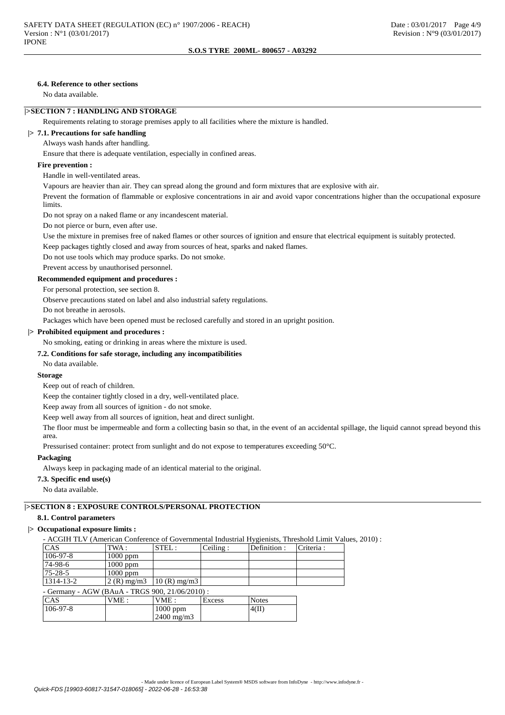# **6.4. Reference to other sections**

No data available.

# **|>SECTION 7 : HANDLING AND STORAGE**

Requirements relating to storage premises apply to all facilities where the mixture is handled.

# **|> 7.1. Precautions for safe handling**

Always wash hands after handling.

Ensure that there is adequate ventilation, especially in confined areas.

# **Fire prevention :**

#### Handle in well-ventilated areas.

Vapours are heavier than air. They can spread along the ground and form mixtures that are explosive with air.

Prevent the formation of flammable or explosive concentrations in air and avoid vapor concentrations higher than the occupational exposure **limits** 

Do not spray on a naked flame or any incandescent material.

Do not pierce or burn, even after use.

Use the mixture in premises free of naked flames or other sources of ignition and ensure that electrical equipment is suitably protected. Keep packages tightly closed and away from sources of heat, sparks and naked flames.

Do not use tools which may produce sparks. Do not smoke.

Prevent access by unauthorised personnel.

#### **Recommended equipment and procedures :**

For personal protection, see section 8.

Observe precautions stated on label and also industrial safety regulations.

Do not breathe in aerosols.

Packages which have been opened must be reclosed carefully and stored in an upright position.

# **|> Prohibited equipment and procedures :**

### No smoking, eating or drinking in areas where the mixture is used.

### **7.2. Conditions for safe storage, including any incompatibilities**

No data available.

# **Storage**

Keep out of reach of children.

Keep the container tightly closed in a dry, well-ventilated place.

Keep away from all sources of ignition - do not smoke.

Keep well away from all sources of ignition, heat and direct sunlight.

The floor must be impermeable and form a collecting basin so that, in the event of an accidental spillage, the liquid cannot spread beyond this area.

Pressurised container: protect from sunlight and do not expose to temperatures exceeding 50°C.

# **Packaging**

Always keep in packaging made of an identical material to the original.

# **7.3. Specific end use(s)**

No data available.

# **|>SECTION 8 : EXPOSURE CONTROLS/PERSONAL PROTECTION**

### **8.1. Control parameters**

# **|> Occupational exposure limits :**

- ACGIH TLV (American Conference of Governmental Industrial Hygienists, Threshold Limit Values, 2010) :

| CAS             | 'TWA :               | STEL:            | Ceiling: | Definition: | Criteria: |
|-----------------|----------------------|------------------|----------|-------------|-----------|
| $106-97-8$      | $1000$ ppm           |                  |          |             |           |
| $ 74-98-6 $     | $1000$ ppm           |                  |          |             |           |
| $175 - 28 - 5$  | $1000$ ppm           |                  |          |             |           |
| $1314 - 13 - 2$ | $\sqrt{2}$ (R) mg/m3 | $10(R)$ mg/m $3$ |          |             |           |

- Germany - AGW (BAuA - TRGS 900, 21/06/2010) :

| CAS            | VME : | VME:         | Excess | <b>Notes</b> |
|----------------|-------|--------------|--------|--------------|
| $106 - 97 - 8$ |       | $1000$ ppm   |        | 4(II)        |
|                |       | $2400$ mg/m3 |        |              |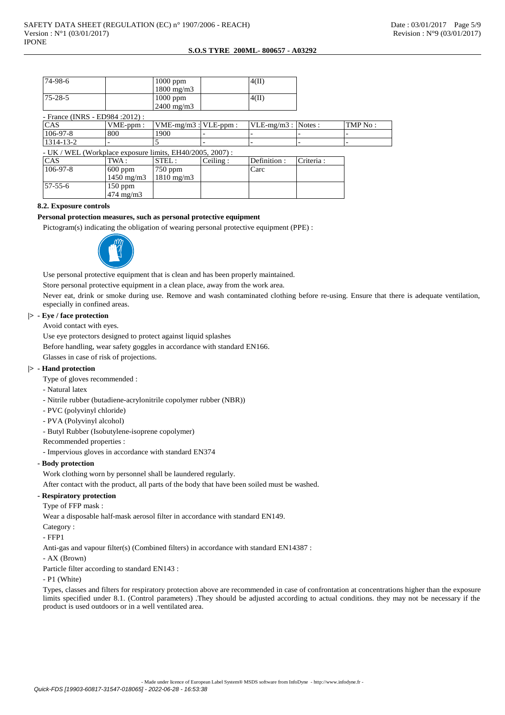| 74-98-6                                                        |                       | 1000 ppm                  |          | 4(II)                 |           |         |
|----------------------------------------------------------------|-----------------------|---------------------------|----------|-----------------------|-----------|---------|
|                                                                |                       | 1800 mg/m3                |          |                       |           |         |
| $75 - 28 - 5$                                                  |                       | $1000$ ppm                |          | 4(II)                 |           |         |
|                                                                |                       | $2400 \text{ mg/m}$       |          |                       |           |         |
| - France (INRS - ED984 : 2012) :                               |                       |                           |          |                       |           |         |
| <b>CAS</b>                                                     | $VME-ppm$ :           | $VME-mg/m3$ : $VLE-ppm$ : |          | $VLE-mg/m3$ : Notes : |           | TMP No: |
| $106-97-8$                                                     | 800                   | 1900                      |          |                       |           |         |
| 1314-13-2                                                      |                       | 5                         |          |                       |           | -       |
| - UK / WEL (Workplace exposure limits, $EH40/2005$ , $2007$ ): |                       |                           |          |                       |           |         |
| <b>CAS</b>                                                     | TWA :                 | STEL:                     | Ceiling: | Definition:           | Criteria: |         |
| $106-97-8$                                                     | $600$ ppm             | $750$ ppm                 |          | Carc                  |           |         |
|                                                                | $1450 \text{ mg/m}$ 3 | $1810 \text{ mg/m}$       |          |                       |           |         |
| $57 - 55 - 6$                                                  | $150$ ppm             |                           |          |                       |           |         |
|                                                                | $474$ mg/m $3$        |                           |          |                       |           |         |

# **8.2. Exposure controls**

# **Personal protection measures, such as personal protective equipment**

Pictogram(s) indicating the obligation of wearing personal protective equipment (PPE) :



Use personal protective equipment that is clean and has been properly maintained.

Store personal protective equipment in a clean place, away from the work area.

Never eat, drink or smoke during use. Remove and wash contaminated clothing before re-using. Ensure that there is adequate ventilation, especially in confined areas.

# **|> - Eye / face protection**

Avoid contact with eyes.

Use eye protectors designed to protect against liquid splashes

Before handling, wear safety goggles in accordance with standard EN166.

Glasses in case of risk of projections.

#### **|> - Hand protection**

Type of gloves recommended :

- Natural latex
- Nitrile rubber (butadiene-acrylonitrile copolymer rubber (NBR))
- PVC (polyvinyl chloride)
- PVA (Polyvinyl alcohol)

- Butyl Rubber (Isobutylene-isoprene copolymer)

Recommended properties :

- Impervious gloves in accordance with standard EN374

#### **- Body protection**

Work clothing worn by personnel shall be laundered regularly.

After contact with the product, all parts of the body that have been soiled must be washed.

# **- Respiratory protection**

Type of FFP mask :

Wear a disposable half-mask aerosol filter in accordance with standard EN149.

Category :

- FFP1

Anti-gas and vapour filter(s) (Combined filters) in accordance with standard EN14387 :

#### - AX (Brown)

Particle filter according to standard EN143 :

- P1 (White)

Types, classes and filters for respiratory protection above are recommended in case of confrontation at concentrations higher than the exposure limits specified under 8.1. (Control parameters) .They should be adjusted according to actual conditions. they may not be necessary if the product is used outdoors or in a well ventilated area.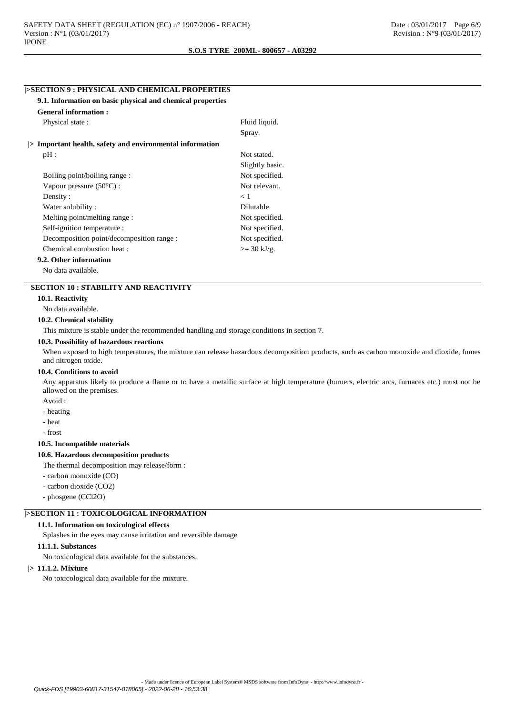# **|>SECTION 9 : PHYSICAL AND CHEMICAL PROPERTIES**

|  | 9.1. Information on basic physical and chemical properties |  |  |  |
|--|------------------------------------------------------------|--|--|--|
|  |                                                            |  |  |  |

| <b>General information:</b>                              |                       |
|----------------------------------------------------------|-----------------------|
| Physical state:                                          | Fluid liquid.         |
|                                                          | Spray.                |
| > Important health, safety and environmental information |                       |
| pH:                                                      | Not stated.           |
|                                                          | Slightly basic.       |
| Boiling point/boiling range :                            | Not specified.        |
| Vapour pressure $(50^{\circ}C)$ :                        | Not relevant.         |
| Density:                                                 | < 1                   |
| Water solubility:                                        | Dilutable.            |
| Melting point/melting range :                            | Not specified.        |
| Self-ignition temperature :                              | Not specified.        |
| Decomposition point/decomposition range :                | Not specified.        |
| Chemical combustion heat:                                | $>= 30 \text{ kJ/g}.$ |
| 9.2. Other information                                   |                       |

No data available.

# **SECTION 10 : STABILITY AND REACTIVITY**

# **10.1. Reactivity**

No data available.

### **10.2. Chemical stability**

This mixture is stable under the recommended handling and storage conditions in section 7.

#### **10.3. Possibility of hazardous reactions**

When exposed to high temperatures, the mixture can release hazardous decomposition products, such as carbon monoxide and dioxide, fumes and nitrogen oxide.

### **10.4. Conditions to avoid**

Any apparatus likely to produce a flame or to have a metallic surface at high temperature (burners, electric arcs, furnaces etc.) must not be allowed on the premises.

- Avoid :
- heating
- heat
- frost

#### **10.5. Incompatible materials**

#### **10.6. Hazardous decomposition products**

The thermal decomposition may release/form :

- carbon monoxide (CO)
- carbon dioxide (CO2)
- phosgene (CCl2O)

# **|>SECTION 11 : TOXICOLOGICAL INFORMATION**

#### **11.1. Information on toxicological effects**

Splashes in the eyes may cause irritation and reversible damage

# **11.1.1. Substances**

No toxicological data available for the substances.

#### **|> 11.1.2. Mixture**

No toxicological data available for the mixture.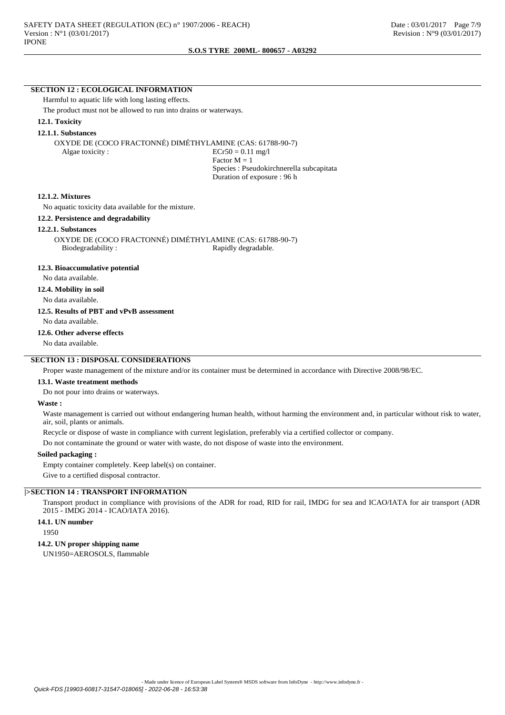# **SECTION 12 : ECOLOGICAL INFORMATION** Harmful to aquatic life with long lasting effects. The product must not be allowed to run into drains or waterways.

### **12.1. Toxicity**

#### **12.1.1. Substances**

OXYDE DE (COCO FRACTONNÉ) DIMÉTHYLAMINE (CAS: 61788-90-7) Algae toxicity : ECr50 = 0.11 mg/l Factor  $M = 1$ 

Species : Pseudokirchnerella subcapitata Duration of exposure : 96 h

#### **12.1.2. Mixtures**

No aquatic toxicity data available for the mixture.

#### **12.2. Persistence and degradability**

#### **12.2.1. Substances**

OXYDE DE (COCO FRACTONNÉ) DIMÉTHYLAMINE (CAS: 61788-90-7) Biodegradability : Rapidly degradable.

#### **12.3. Bioaccumulative potential**

No data available.

### **12.4. Mobility in soil**

No data available.

### **12.5. Results of PBT and vPvB assessment**

No data available.

#### **12.6. Other adverse effects**

No data available.

# **SECTION 13 : DISPOSAL CONSIDERATIONS**

Proper waste management of the mixture and/or its container must be determined in accordance with Directive 2008/98/EC.

### **13.1. Waste treatment methods**

Do not pour into drains or waterways.

# **Waste :**

Waste management is carried out without endangering human health, without harming the environment and, in particular without risk to water, air, soil, plants or animals.

Recycle or dispose of waste in compliance with current legislation, preferably via a certified collector or company.

Do not contaminate the ground or water with waste, do not dispose of waste into the environment.

#### **Soiled packaging :**

Empty container completely. Keep label(s) on container. Give to a certified disposal contractor.

# **|>SECTION 14 : TRANSPORT INFORMATION**

Transport product in compliance with provisions of the ADR for road, RID for rail, IMDG for sea and ICAO/IATA for air transport (ADR 2015 - IMDG 2014 - ICAO/IATA 2016).

### **14.1. UN number**

1950

#### **14.2. UN proper shipping name**

UN1950=AEROSOLS, flammable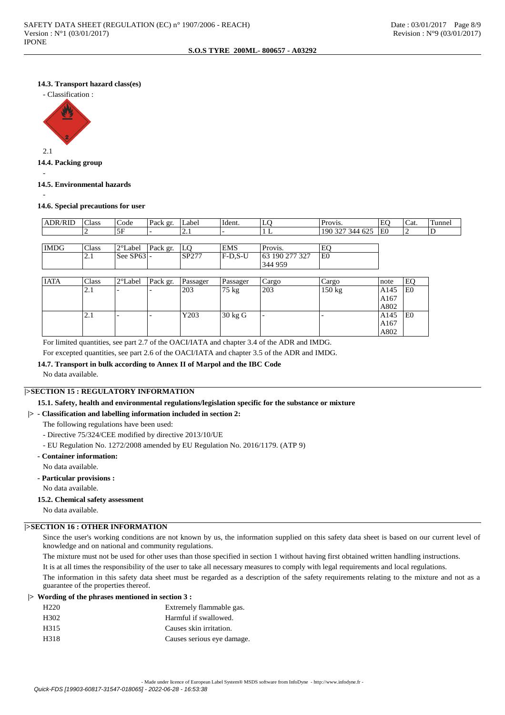# **14.3. Transport hazard class(es)**



### **14.4. Packing group**

### **14.5. Environmental hazards**

-

-

### **14.6. Special precautions for user**

| <b>ADR/RID</b> | Class | Code              | Pack gr. | Label       | Ident.          | LO             | Provis.          | EO               | Cat.           | Tunnel |
|----------------|-------|-------------------|----------|-------------|-----------------|----------------|------------------|------------------|----------------|--------|
|                |       | 5F                |          | $\angle .1$ |                 | 1 L            | 190 327 344 625  | E <sub>0</sub>   |                | ◡      |
|                |       |                   |          |             |                 |                |                  |                  |                |        |
| <b>IMDG</b>    | Class | $2^{\circ}$ Label | Pack gr. | LO          | <b>EMS</b>      | Provis.        | EO               |                  |                |        |
|                | 2.1   | See SP631-        |          | SP277       | F-D.S-U         | 63 190 277 327 | E <sub>0</sub>   |                  |                |        |
|                |       |                   |          |             |                 | 344 959        |                  |                  |                |        |
|                |       |                   |          |             |                 |                |                  |                  |                |        |
| <b>IATA</b>    | Class | $2^{\circ}$ Label | Pack gr. | Passager    | Passager        | Cargo          | Cargo            | note             | EQ             |        |
|                | 2.1   |                   |          | 203         | $75 \text{ kg}$ | 203            | $150 \text{ kg}$ | A <sub>145</sub> | E <sub>0</sub> |        |

| 2.1 | -                        | 203  | $75 \text{ kg}$ | 203 | 150 kg                   | A145 | E <sub>0</sub> |
|-----|--------------------------|------|-----------------|-----|--------------------------|------|----------------|
|     |                          |      |                 |     |                          | A167 |                |
|     |                          |      |                 |     |                          | A802 |                |
| 2.1 | $\overline{\phantom{0}}$ | Y203 | 30 kg G         | ı – | $\overline{\phantom{0}}$ | A145 | E <sub>0</sub> |
|     |                          |      |                 |     |                          | A167 |                |
|     |                          |      |                 |     |                          | A802 |                |

For limited quantities, see part 2.7 of the OACI/IATA and chapter 3.4 of the ADR and IMDG. For excepted quantities, see part 2.6 of the OACI/IATA and chapter 3.5 of the ADR and IMDG.

# **14.7. Transport in bulk according to Annex II of Marpol and the IBC Code**

No data available.

# **|>SECTION 15 : REGULATORY INFORMATION**

#### **15.1. Safety, health and environmental regulations/legislation specific for the substance or mixture**

### **|> - Classification and labelling information included in section 2:**

- The following regulations have been used:
- Directive 75/324/CEE modified by directive 2013/10/UE
- EU Regulation No. 1272/2008 amended by EU Regulation No. 2016/1179. (ATP 9)

# **- Container information:**

No data available.

**- Particular provisions :**

No data available.

### **15.2. Chemical safety assessment**

No data available.

# **|>SECTION 16 : OTHER INFORMATION**

Since the user's working conditions are not known by us, the information supplied on this safety data sheet is based on our current level of knowledge and on national and community regulations.

The mixture must not be used for other uses than those specified in section 1 without having first obtained written handling instructions.

It is at all times the responsibility of the user to take all necessary measures to comply with legal requirements and local regulations.

The information in this safety data sheet must be regarded as a description of the safety requirements relating to the mixture and not as a guarantee of the properties thereof.

# **|> Wording of the phrases mentioned in section 3 :**

| H <sub>220</sub> | Extremely flammable gas.   |
|------------------|----------------------------|
| H <sub>302</sub> | Harmful if swallowed.      |
| H315             | Causes skin irritation.    |
| H318             | Causes serious eye damage. |